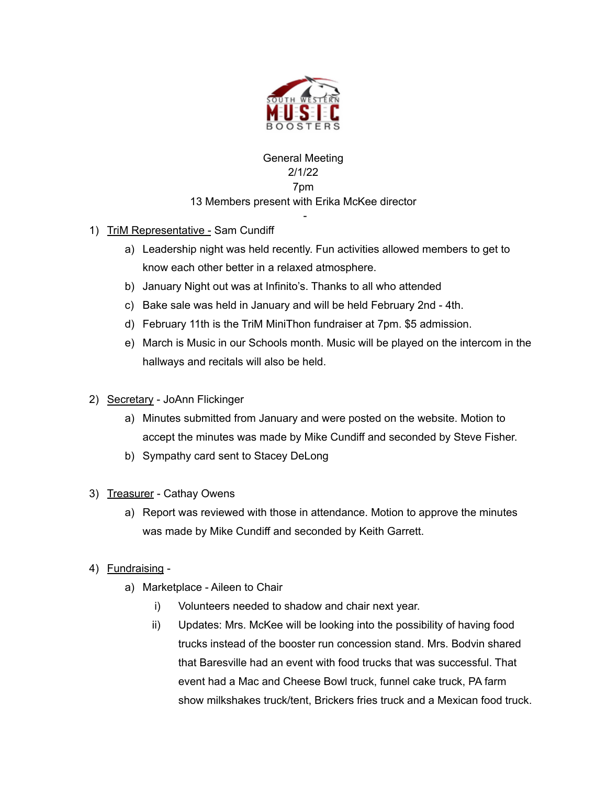

## General Meeting 2/1/22 7pm 13 Members present with Erika McKee director

-

- 1) TriM Representative Sam Cundiff
	- a) Leadership night was held recently. Fun activities allowed members to get to know each other better in a relaxed atmosphere.
	- b) January Night out was at Infinito's. Thanks to all who attended
	- c) Bake sale was held in January and will be held February 2nd 4th.
	- d) February 11th is the TriM MiniThon fundraiser at 7pm. \$5 admission.
	- e) March is Music in our Schools month. Music will be played on the intercom in the hallways and recitals will also be held.
- 2) Secretary JoAnn Flickinger
	- a) Minutes submitted from January and were posted on the website. Motion to accept the minutes was made by Mike Cundiff and seconded by Steve Fisher.
	- b) Sympathy card sent to Stacey DeLong
- 3) Treasurer Cathay Owens
	- a) Report was reviewed with those in attendance. Motion to approve the minutes was made by Mike Cundiff and seconded by Keith Garrett.
- 4) Fundraising
	- a) Marketplace Aileen to Chair
		- i) Volunteers needed to shadow and chair next year.
		- ii) Updates: Mrs. McKee will be looking into the possibility of having food trucks instead of the booster run concession stand. Mrs. Bodvin shared that Baresville had an event with food trucks that was successful. That event had a Mac and Cheese Bowl truck, funnel cake truck, PA farm show milkshakes truck/tent, Brickers fries truck and a Mexican food truck.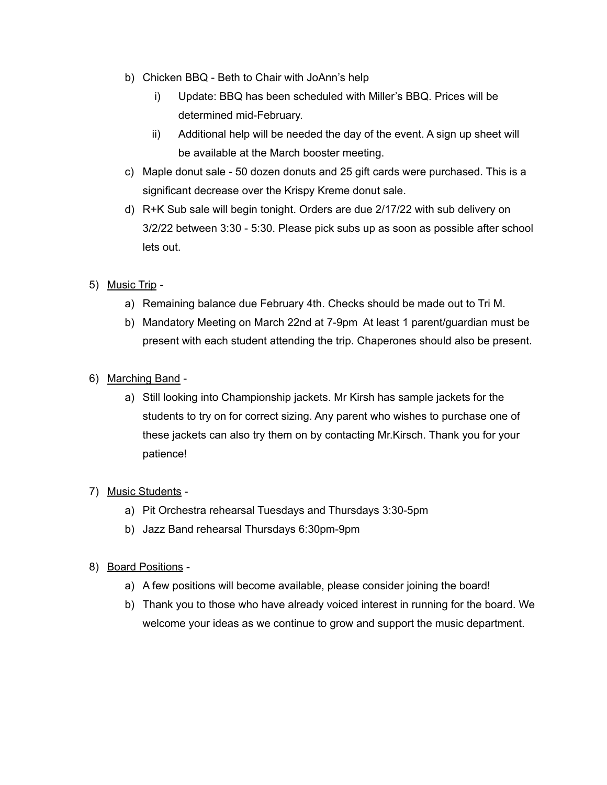- b) Chicken BBQ Beth to Chair with JoAnn's help
	- i) Update: BBQ has been scheduled with Miller's BBQ. Prices will be determined mid-February.
	- ii) Additional help will be needed the day of the event. A sign up sheet will be available at the March booster meeting.
- c) Maple donut sale 50 dozen donuts and 25 gift cards were purchased. This is a significant decrease over the Krispy Kreme donut sale.
- d) R+K Sub sale will begin tonight. Orders are due 2/17/22 with sub delivery on 3/2/22 between 3:30 - 5:30. Please pick subs up as soon as possible after school lets out.
- 5) Music Trip
	- a) Remaining balance due February 4th. Checks should be made out to Tri M.
	- b) Mandatory Meeting on March 22nd at 7-9pm At least 1 parent/guardian must be present with each student attending the trip. Chaperones should also be present.
- 6) Marching Band
	- a) Still looking into Championship jackets. Mr Kirsh has sample jackets for the students to try on for correct sizing. Any parent who wishes to purchase one of these jackets can also try them on by contacting Mr.Kirsch. Thank you for your patience!
- 7) Music Students
	- a) Pit Orchestra rehearsal Tuesdays and Thursdays 3:30-5pm
	- b) Jazz Band rehearsal Thursdays 6:30pm-9pm
- 8) Board Positions
	- a) A few positions will become available, please consider joining the board!
	- b) Thank you to those who have already voiced interest in running for the board. We welcome your ideas as we continue to grow and support the music department.